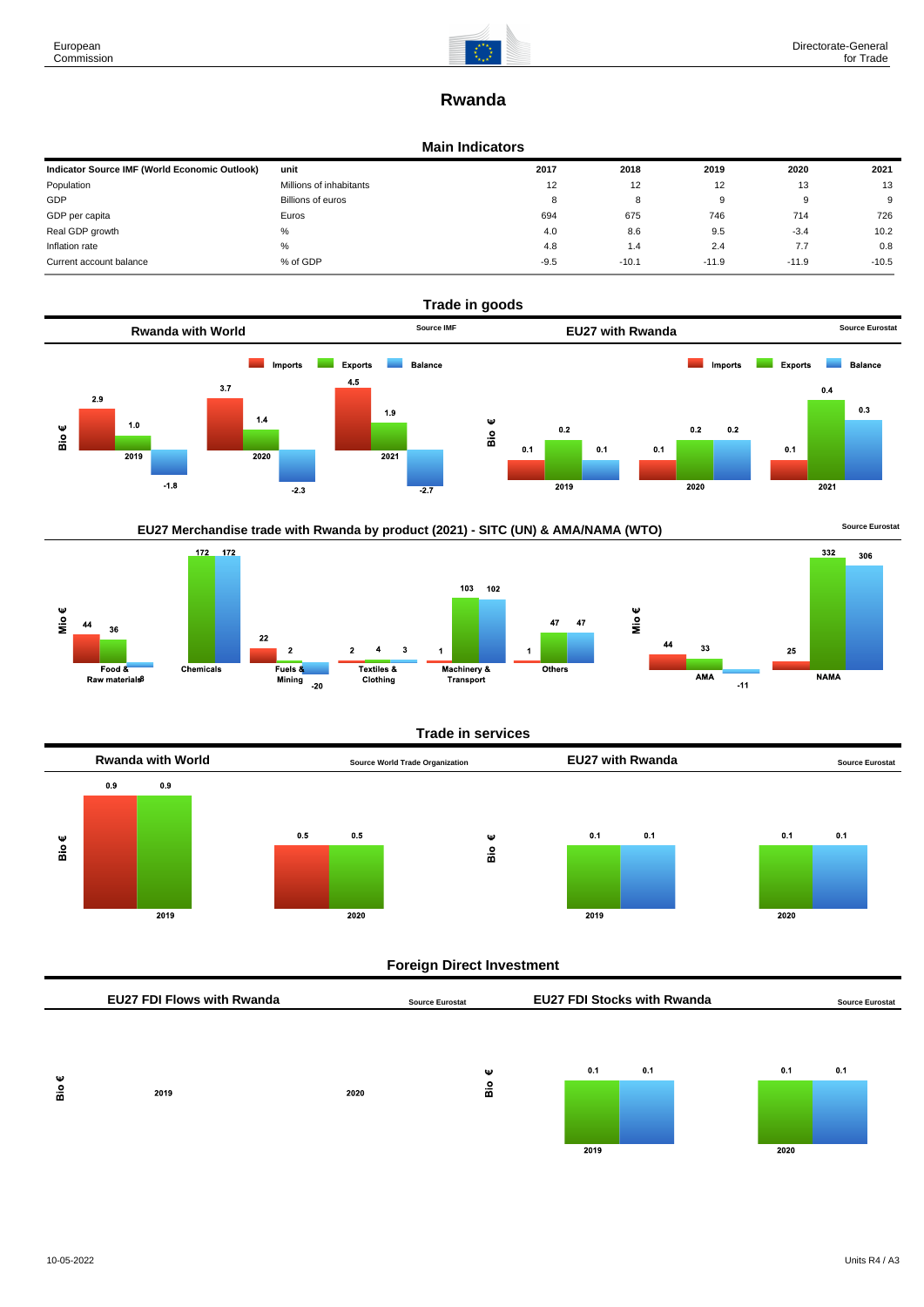

# **Rwanda**

## **Main Indicators**

| Indicator Source IMF (World Economic Outlook) | unit                    | 2017   | 2018    | 2019    | 2020    | 2021    |
|-----------------------------------------------|-------------------------|--------|---------|---------|---------|---------|
| Population                                    | Millions of inhabitants | 12     | 12      | 12      | 13      | 13      |
| GDP                                           | Billions of euros       | ۰      | 8       | 9       |         | 9       |
| GDP per capita                                | Euros                   | 694    | 675     | 746     | 714     | 726     |
| Real GDP growth                               | %                       | 4.0    | 8.6     | 9.5     | $-3.4$  | 10.2    |
| Inflation rate                                | %                       | 4.8    | 1.4     | 2.4     | 7.7     | 0.8     |
| Current account balance                       | % of GDP                | $-9.5$ | $-10.1$ | $-11.9$ | $-11.9$ | $-10.5$ |









Mio€

# **Trade in services**



# **Foreign Direct Investment**

|        | <b>EU27 FDI Flows with Rwanda</b> |      | <b>Source Eurostat</b> | <b>EU27 FDI Stocks with Rwanda</b> |             | <b>Source Eurostat</b> |
|--------|-----------------------------------|------|------------------------|------------------------------------|-------------|------------------------|
| Ψ<br>å | 2019                              | 2020 | Ψ<br>å                 | 0.1<br>0.1<br>2019                 | 0.1<br>2020 | 0.1                    |